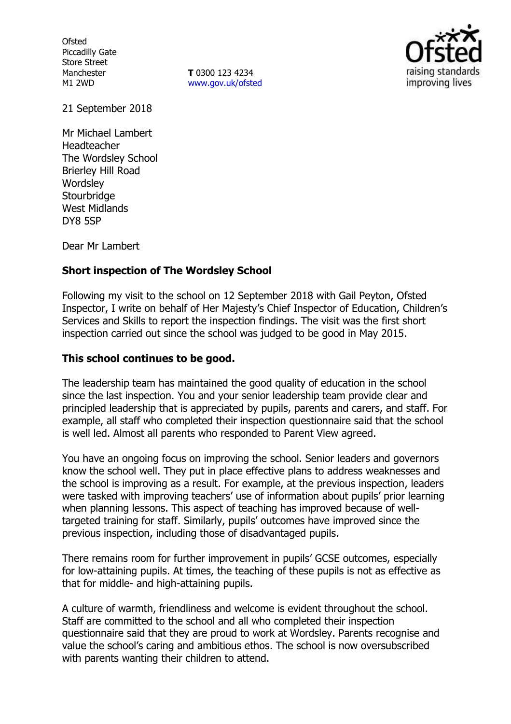**Ofsted** Piccadilly Gate Store Street Manchester M1 2WD

**T** 0300 123 4234 www.gov.uk/ofsted



21 September 2018

Mr Michael Lambert Headteacher The Wordsley School Brierley Hill Road **Wordsley Stourbridge** West Midlands DY8 5SP

Dear Mr Lambert

# **Short inspection of The Wordsley School**

Following my visit to the school on 12 September 2018 with Gail Peyton, Ofsted Inspector, I write on behalf of Her Majesty's Chief Inspector of Education, Children's Services and Skills to report the inspection findings. The visit was the first short inspection carried out since the school was judged to be good in May 2015.

## **This school continues to be good.**

The leadership team has maintained the good quality of education in the school since the last inspection. You and your senior leadership team provide clear and principled leadership that is appreciated by pupils, parents and carers, and staff. For example, all staff who completed their inspection questionnaire said that the school is well led. Almost all parents who responded to Parent View agreed.

You have an ongoing focus on improving the school. Senior leaders and governors know the school well. They put in place effective plans to address weaknesses and the school is improving as a result. For example, at the previous inspection, leaders were tasked with improving teachers' use of information about pupils' prior learning when planning lessons. This aspect of teaching has improved because of welltargeted training for staff. Similarly, pupils' outcomes have improved since the previous inspection, including those of disadvantaged pupils.

There remains room for further improvement in pupils' GCSE outcomes, especially for low-attaining pupils. At times, the teaching of these pupils is not as effective as that for middle- and high-attaining pupils.

A culture of warmth, friendliness and welcome is evident throughout the school. Staff are committed to the school and all who completed their inspection questionnaire said that they are proud to work at Wordsley. Parents recognise and value the school's caring and ambitious ethos. The school is now oversubscribed with parents wanting their children to attend.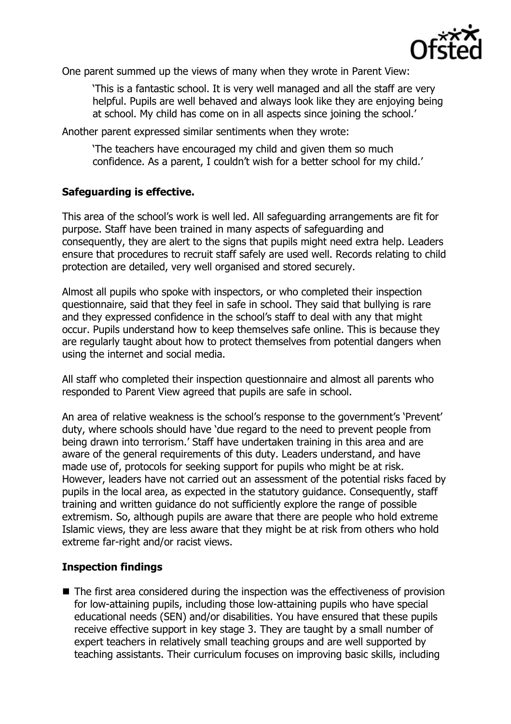

One parent summed up the views of many when they wrote in Parent View:

'This is a fantastic school. It is very well managed and all the staff are very helpful. Pupils are well behaved and always look like they are enjoying being at school. My child has come on in all aspects since joining the school.'

Another parent expressed similar sentiments when they wrote:

'The teachers have encouraged my child and given them so much confidence. As a parent, I couldn't wish for a better school for my child.'

## **Safeguarding is effective.**

This area of the school's work is well led. All safeguarding arrangements are fit for purpose. Staff have been trained in many aspects of safeguarding and consequently, they are alert to the signs that pupils might need extra help. Leaders ensure that procedures to recruit staff safely are used well. Records relating to child protection are detailed, very well organised and stored securely.

Almost all pupils who spoke with inspectors, or who completed their inspection questionnaire, said that they feel in safe in school. They said that bullying is rare and they expressed confidence in the school's staff to deal with any that might occur. Pupils understand how to keep themselves safe online. This is because they are regularly taught about how to protect themselves from potential dangers when using the internet and social media.

All staff who completed their inspection questionnaire and almost all parents who responded to Parent View agreed that pupils are safe in school.

An area of relative weakness is the school's response to the government's 'Prevent' duty, where schools should have 'due regard to the need to prevent people from being drawn into terrorism.' Staff have undertaken training in this area and are aware of the general requirements of this duty. Leaders understand, and have made use of, protocols for seeking support for pupils who might be at risk. However, leaders have not carried out an assessment of the potential risks faced by pupils in the local area, as expected in the statutory guidance. Consequently, staff training and written guidance do not sufficiently explore the range of possible extremism. So, although pupils are aware that there are people who hold extreme Islamic views, they are less aware that they might be at risk from others who hold extreme far-right and/or racist views.

# **Inspection findings**

■ The first area considered during the inspection was the effectiveness of provision for low-attaining pupils, including those low-attaining pupils who have special educational needs (SEN) and/or disabilities. You have ensured that these pupils receive effective support in key stage 3. They are taught by a small number of expert teachers in relatively small teaching groups and are well supported by teaching assistants. Their curriculum focuses on improving basic skills, including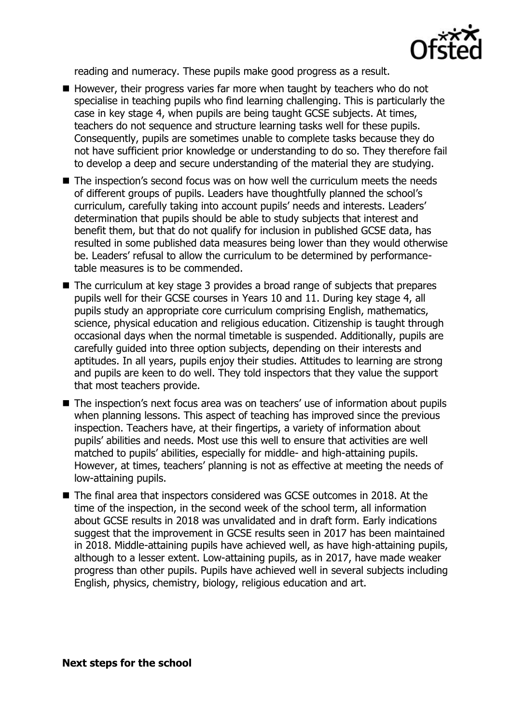

reading and numeracy. These pupils make good progress as a result.

- However, their progress varies far more when taught by teachers who do not specialise in teaching pupils who find learning challenging. This is particularly the case in key stage 4, when pupils are being taught GCSE subjects. At times, teachers do not sequence and structure learning tasks well for these pupils. Consequently, pupils are sometimes unable to complete tasks because they do not have sufficient prior knowledge or understanding to do so. They therefore fail to develop a deep and secure understanding of the material they are studying.
- The inspection's second focus was on how well the curriculum meets the needs of different groups of pupils. Leaders have thoughtfully planned the school's curriculum, carefully taking into account pupils' needs and interests. Leaders' determination that pupils should be able to study subjects that interest and benefit them, but that do not qualify for inclusion in published GCSE data, has resulted in some published data measures being lower than they would otherwise be. Leaders' refusal to allow the curriculum to be determined by performancetable measures is to be commended.
- The curriculum at key stage 3 provides a broad range of subjects that prepares pupils well for their GCSE courses in Years 10 and 11. During key stage 4, all pupils study an appropriate core curriculum comprising English, mathematics, science, physical education and religious education. Citizenship is taught through occasional days when the normal timetable is suspended. Additionally, pupils are carefully guided into three option subjects, depending on their interests and aptitudes. In all years, pupils enjoy their studies. Attitudes to learning are strong and pupils are keen to do well. They told inspectors that they value the support that most teachers provide.
- The inspection's next focus area was on teachers' use of information about pupils when planning lessons. This aspect of teaching has improved since the previous inspection. Teachers have, at their fingertips, a variety of information about pupils' abilities and needs. Most use this well to ensure that activities are well matched to pupils' abilities, especially for middle- and high-attaining pupils. However, at times, teachers' planning is not as effective at meeting the needs of low-attaining pupils.
- The final area that inspectors considered was GCSE outcomes in 2018. At the time of the inspection, in the second week of the school term, all information about GCSE results in 2018 was unvalidated and in draft form. Early indications suggest that the improvement in GCSE results seen in 2017 has been maintained in 2018. Middle-attaining pupils have achieved well, as have high-attaining pupils, although to a lesser extent. Low-attaining pupils, as in 2017, have made weaker progress than other pupils. Pupils have achieved well in several subjects including English, physics, chemistry, biology, religious education and art.